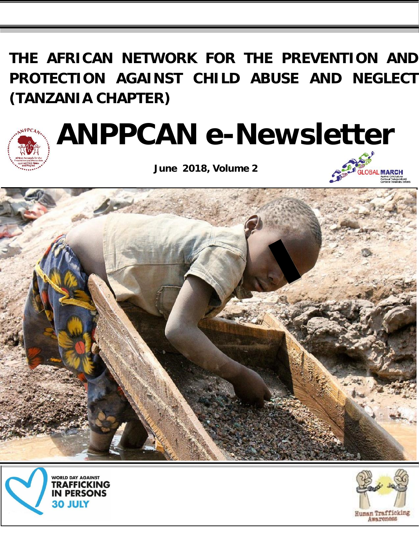**THE AFRICAN NETWORK FOR THE PREVENTION AND PROTECTION AGAINST CHILD ABUSE AND NEGLECT (TANZANIA CHAPTER)**



# **ANPPCAN e-Newsletter**

**June 2018, Volume 2**







![](_page_0_Picture_7.jpeg)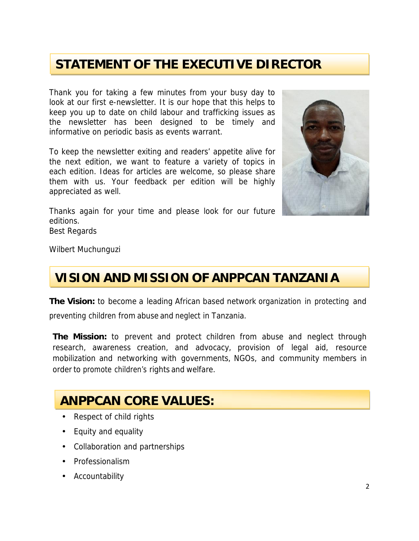### **STATEMENT OF THE EXECUTIVE DIRECTOR**

Thank you for taking a few minutes from your busy day to look at our first e-newsletter. It is our hope that this helps to keep you up to date on child labour and trafficking issues as the newsletter has been designed to be timely and informative on periodic basis as events warrant.

To keep the newsletter exiting and readers' appetite alive for the next edition, we want to feature a variety of topics in each edition. Ideas for articles are welcome, so please share them with us. Your feedback per edition will be highly appreciated as well.

Thanks again for your time and please look for our future editions.

Best Regards

Wilbert Muchunguzi

### **VISION AND MISSION OF ANPPCAN TANZANIA**

**The Vision:** to become a leading African based network organization in protecting and preventing children from abuse and neglect in Tanzania.

**The Mission:** to prevent and protect children from abuse and neglect through research, awareness creation, and advocacy, provision of legal aid, resource mobilization and networking with governments, NGOs, and community members in order to promote children's rights and welfare.

### **ANPPCAN CORE VALUES:**

- Respect of child rights
- Equity and equality
- Collaboration and partnerships
- Professionalism
- Accountability

![](_page_1_Picture_16.jpeg)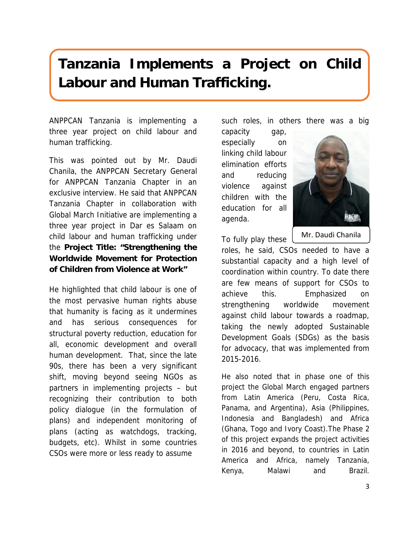# **Tanzania Implements a Project on Child Labour and Human Trafficking.**

ANPPCAN Tanzania is implementing a three year project on child labour and human trafficking.

This was pointed out by Mr. Daudi Chanila, the ANPPCAN Secretary General for ANPPCAN Tanzania Chapter in an exclusive interview. He said that ANPPCAN Tanzania Chapter in collaboration with Global March Initiative are implementing a three year project in Dar es Salaam on child labour and human trafficking under the **Project Title: "Strengthening the Worldwide Movement for Protection of Children from Violence at Work"**

He highlighted that child labour is one of the most pervasive human rights abuse that humanity is facing as it undermines and has serious consequences for structural poverty reduction, education for all, economic development and overall human development. That, since the late 90s, there has been a very significant shift, moving beyond seeing NGOs as partners in implementing projects – but recognizing their contribution to both policy dialogue (in the formulation of plans) and independent monitoring of plans (acting as watchdogs, tracking, budgets, etc). Whilst in some countries CSOs were more or less ready to assume

such roles, in others there was a big

capacity gap, especially on linking child labour elimination efforts and reducing violence against children with the education for all agenda.

![](_page_2_Picture_6.jpeg)

To fully play these Mr. Daudi Chanila

roles, he said, CSOs needed to have a substantial capacity and a high level of coordination within country. To date there are few means of support for CSOs to achieve this. Emphasized on strengthening worldwide movement against child labour towards a roadmap, taking the newly adopted Sustainable Development Goals (SDGs) as the basis for advocacy, that was implemented from 2015-2016.

He also noted that in phase one of this project the Global March engaged partners from Latin America (Peru, Costa Rica, Panama, and Argentina), Asia (Philippines, Indonesia and Bangladesh) and Africa (Ghana, Togo and Ivory Coast).The Phase 2 of this project expands the project activities in 2016 and beyond, to countries in Latin America and Africa, namely Tanzania, Kenya, Malawi and Brazil.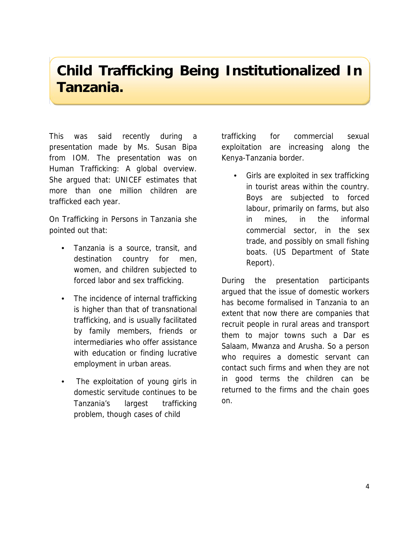### **Child Trafficking Being Institutionalized In Tanzania.**

This was said recently during a presentation made by Ms. Susan Bipa from IOM. The presentation was on Human Trafficking: A global overview. She argued that: UNICEF estimates that more than one million children are trafficked each year.

On Trafficking in Persons in Tanzania she pointed out that:

- Tanzania is a source, transit, and destination country for men, women, and children subjected to forced labor and sex trafficking.
- The incidence of internal trafficking is higher than that of transnational trafficking, and is usually facilitated by family members, friends or intermediaries who offer assistance with education or finding lucrative employment in urban areas.
- The exploitation of young girls in domestic servitude continues to be Tanzania's largest trafficking problem, though cases of child

for commercial sexual exploitation are increasing along the Kenya-Tanzania border.

• Girls are exploited in sex trafficking in tourist areas within the country. Boys are subjected to forced labour, primarily on farms, but also in mines, in the informal commercial sector, in the sex trade, and possibly on small fishing boats. (US Department of State Report).

During the presentation participants argued that the issue of domestic workers has become formalised in Tanzania to an extent that now there are companies that recruit people in rural areas and transport them to major towns such a Dar es Salaam, Mwanza and Arusha. So a person who requires a domestic servant can contact such firms and when they are not in good terms the children can be returned to the firms and the chain goes on.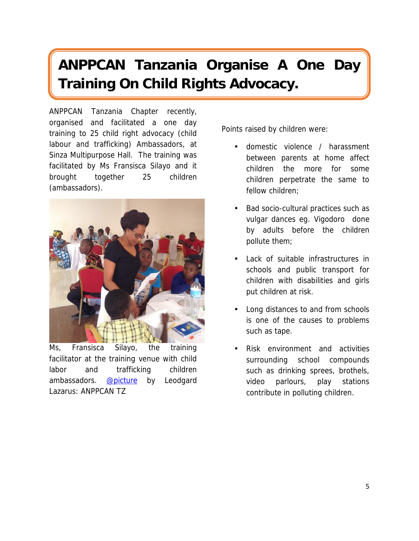# **ANPPCAN Tanzania Organise A One Day Training On Child Rights Advocacy.**

ANPPCAN Tanzania Chapter recently, organised and facilitated a one day training to 25 child right advocacy (child labour and trafficking) Ambassadors, at Sinza Multipurpose Hall. The training was facilitated by Ms Fransisca Silayo and it brought together 25 children (ambassadors).

![](_page_4_Picture_2.jpeg)

*Ms, Fransisca Silayo, the training facilitator at the training venue with child labor and trafficking children ambassadors. @picture by Leodgard Lazarus: ANPPCAN TZ*

Points raised by children were:

- domestic violence / harassment between parents at home affect children the more for some children perpetrate the same to fellow children;
- Bad socio-cultural practices such as vulgar dances eg. *Vigodoro* done by adults before the children pollute them;
- Lack of suitable infrastructures in schools and public transport for children with disabilities and girls put children at risk.
- Long distances to and from schools is one of the causes to problems such as tape.
- Risk environment and activities surrounding school compounds such as drinking sprees, brothels, video parlours, play stations contribute in polluting children.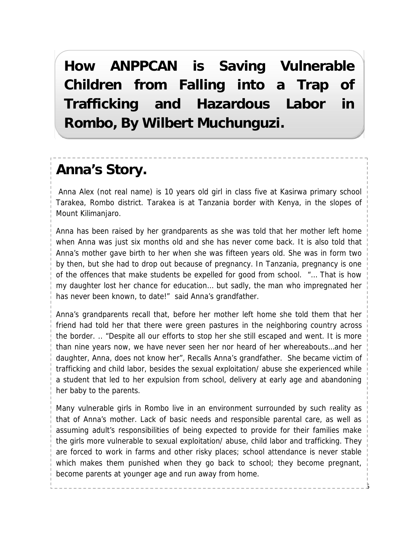**How ANPPCAN is Saving Vulnerable Children from Falling into a Trap of Trafficking and Hazardous Labor in Rombo, By Wilbert Muchunguzi.**

### **Anna's Story.**

Anna Alex (not real name) is 10 years old girl in class five at Kasirwa primary school Tarakea, Rombo district. Tarakea is at Tanzania border with Kenya, in the slopes of Mount Kilimanjaro.

Anna has been raised by her grandparents as she was told that her mother left home when Anna was just six months old and she has never come back. It is also told that Anna's mother gave birth to her when she was fifteen years old. She was in form two by then, but she had to drop out because of pregnancy. In Tanzania, pregnancy is one of the offences that make students be expelled for good from school. "… That is how my daughter lost her chance for education… but sadly, the man who impregnated her has never been known, to date!" said Anna's grandfather.

Anna's grandparents recall that, before her mother left home she told them that her friend had told her that there were green pastures in the neighboring country across the border. .. "Despite all our efforts to stop her she still escaped and went. It is more than nine years now, we have never seen her nor heard of her whereabouts…and her daughter, Anna, does not know her", Recalls Anna's grandfather. She became victim of trafficking and child labor, besides the sexual exploitation/ abuse she experienced while a student that led to her expulsion from school, delivery at early age and abandoning her baby to the parents.

Many vulnerable girls in Rombo live in an environment surrounded by such reality as that of Anna's mother. Lack of basic needs and responsible parental care, as well as assuming adult's responsibilities of being expected to provide for their families make the girls more vulnerable to sexual exploitation/ abuse, child labor and trafficking. They are forced to work in farms and other risky places; school attendance is never stable which makes them punished when they go back to school; they become pregnant, become parents at younger age and run away from home.

5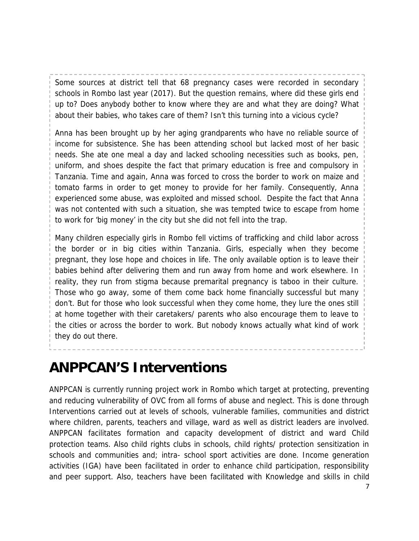Some sources at district tell that 68 pregnancy cases were recorded in secondary schools in Rombo last year (2017). But the question remains, where did these girls end up to? Does anybody bother to know where they are and what they are doing? What about their babies, who takes care of them? Isn't this turning into a vicious cycle?

Anna has been brought up by her aging grandparents who have no reliable source of income for subsistence. She has been attending school but lacked most of her basic needs. She ate one meal a day and lacked schooling necessities such as books, pen, uniform, and shoes despite the fact that primary education is free and compulsory in Tanzania. Time and again, Anna was forced to cross the border to work on maize and tomato farms in order to get money to provide for her family. Consequently, Anna experienced some abuse, was exploited and missed school. Despite the fact that Anna was not contented with such a situation, she was tempted twice to escape from home to work for 'big money' in the city but she did not fell into the trap.

Many children especially girls in Rombo fell victims of trafficking and child labor across the border or in big cities within Tanzania. Girls, especially when they become pregnant, they lose hope and choices in life. The only available option is to leave their babies behind after delivering them and run away from home and work elsewhere. In reality, they run from stigma because premarital pregnancy is taboo in their culture. Those who go away, some of them come back home financially successful but many don't. But for those who look successful when they come home, they lure the ones still at home together with their caretakers/ parents who also encourage them to leave to the cities or across the border to work. But nobody knows actually what kind of work they do out there.

**ANPPCAN'S Interventions**

ANPPCAN is currently running project work in Rombo which target at protecting, preventing and reducing vulnerability of OVC from all forms of abuse and neglect. This is done through Interventions carried out at levels of schools, vulnerable families, communities and district where children, parents, teachers and village, ward as well as district leaders are involved. ANPPCAN facilitates formation and capacity development of district and ward Child protection teams. Also child rights clubs in schools, child rights/ protection sensitization in schools and communities and; intra- school sport activities are done. Income generation activities (IGA) have been facilitated in order to enhance child participation, responsibility and peer support. Also, teachers have been facilitated with Knowledge and skills in child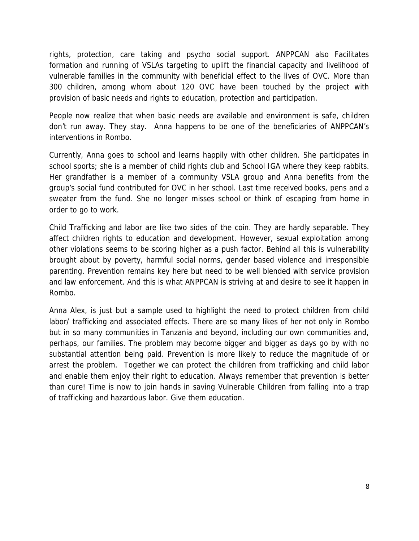rights, protection, care taking and psycho social support. ANPPCAN also Facilitates formation and running of VSLAs targeting to uplift the financial capacity and livelihood of vulnerable families in the community with beneficial effect to the lives of OVC. More than 300 children, among whom about 120 OVC have been touched by the project with provision of basic needs and rights to education, protection and participation.

People now realize that when basic needs are available and environment is safe, children don't run away. They stay. Anna happens to be one of the beneficiaries of ANPPCAN's interventions in Rombo.

Currently, Anna goes to school and learns happily with other children. She participates in school sports; she is a member of child rights club and School IGA where they keep rabbits. Her grandfather is a member of a community VSLA group and Anna benefits from the group's social fund contributed for OVC in her school. Last time received books, pens and a sweater from the fund. She no longer misses school or think of escaping from home in order to go to work.

Child Trafficking and labor are like two sides of the coin. They are hardly separable. They affect children rights to education and development. However, sexual exploitation among other violations seems to be scoring higher as a push factor. Behind all this is vulnerability brought about by poverty, harmful social norms, gender based violence and irresponsible parenting. Prevention remains key here but need to be well blended with service provision and law enforcement. And this is what ANPPCAN is striving at and desire to see it happen in Rombo.

Anna Alex, is just but a sample used to highlight the need to protect children from child labor/ trafficking and associated effects. There are so many likes of her not only in Rombo but in so many communities in Tanzania and beyond, including our own communities and, perhaps, our families. The problem may become bigger and bigger as days go by with no substantial attention being paid. Prevention is more likely to reduce the magnitude of or arrest the problem. Together we can protect the children from trafficking and child labor and enable them enjoy their right to education. Always remember that prevention is better than cure! Time is now to join hands in saving Vulnerable Children from falling into a trap of trafficking and hazardous labor. Give them education.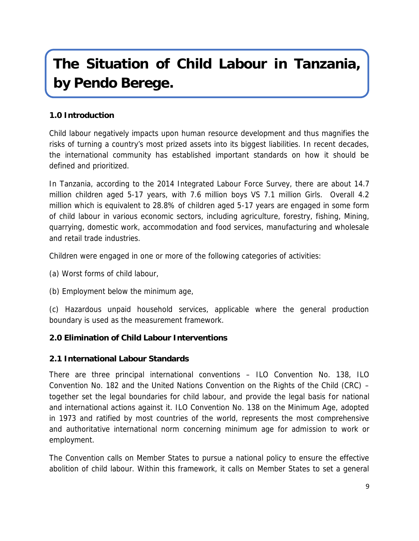# **The Situation of Child Labour in Tanzania, by Pendo Berege.**

#### **1.0 Introduction**

Child labour negatively impacts upon human resource development and thus magnifies the risks of turning a country's most prized assets into its biggest liabilities. In recent decades, the international community has established important standards on how it should be defined and prioritized.

In Tanzania, according to the 2014 Integrated Labour Force Survey, there are about 14.7 million children aged 5-17 years, with 7.6 million boys VS 7.1 million Girls. Overall 4.2 million which is equivalent to 28.8% of children aged 5-17 years are engaged in some form of child labour in various economic sectors, including agriculture, forestry, fishing, Mining, quarrying, domestic work, accommodation and food services, manufacturing and wholesale and retail trade industries.

Children were engaged in one or more of the following categories of activities:

- (a) Worst forms of child labour,
- (b) Employment below the minimum age,

(c) Hazardous unpaid household services, applicable where the general production boundary is used as the measurement framework.

- **2.0 Elimination of Child Labour Interventions**
- **2.1 International Labour Standards**

There are three principal international conventions – ILO Convention No. 138, ILO Convention No. 182 and the United Nations Convention on the Rights of the Child (CRC) – together set the legal boundaries for child labour, and provide the legal basis for national and international actions against it. ILO Convention No. 138 on the Minimum Age, adopted in 1973 and ratified by most countries of the world, represents the most comprehensive and authoritative international norm concerning minimum age for admission to work or employment.

The Convention calls on Member States to pursue a national policy to ensure the effective abolition of child labour. Within this framework, it calls on Member States to set a general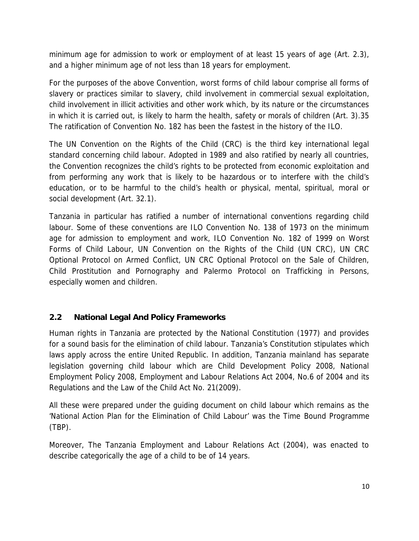minimum age for admission to work or employment of at least 15 years of age (Art. 2.3), and a higher minimum age of not less than 18 years for employment.

For the purposes of the above Convention, worst forms of child labour comprise all forms of slavery or practices similar to slavery, child involvement in commercial sexual exploitation, child involvement in illicit activities and other work which, by its nature or the circumstances in which it is carried out, is likely to harm the health, safety or morals of children (Art. 3).35 The ratification of Convention No. 182 has been the fastest in the history of the ILO.

The UN Convention on the Rights of the Child (CRC) is the third key international legal standard concerning child labour. Adopted in 1989 and also ratified by nearly all countries, the Convention recognizes the child's rights to be protected from economic exploitation and from performing any work that is likely to be hazardous or to interfere with the child's education, or to be harmful to the child's health or physical, mental, spiritual, moral or social development (Art. 32.1).

Tanzania in particular has ratified a number of international conventions regarding child labour. Some of these conventions are ILO Convention No. 138 of 1973 on the minimum age for admission to employment and work, ILO Convention No. 182 of 1999 on Worst Forms of Child Labour, UN Convention on the Rights of the Child (UN CRC), UN CRC Optional Protocol on Armed Conflict, UN CRC Optional Protocol on the Sale of Children, Child Prostitution and Pornography and Palermo Protocol on Trafficking in Persons, especially women and children.

#### **2.2 National Legal And Policy Frameworks**

Human rights in Tanzania are protected by the National Constitution (1977) and provides for a sound basis for the elimination of child labour. Tanzania's Constitution stipulates which laws apply across the entire United Republic. In addition, Tanzania mainland has separate legislation governing child labour which are Child Development Policy 2008, National Employment Policy 2008, Employment and Labour Relations Act 2004, No.6 of 2004 and its Regulations and the Law of the Child Act No. 21(2009).

All these were prepared under the guiding document on child labour which remains as the 'National Action Plan for the Elimination of Child Labour' was the Time Bound Programme (TBP).

Moreover, The Tanzania Employment and Labour Relations Act (2004), was enacted to describe categorically the age of a child to be of 14 years.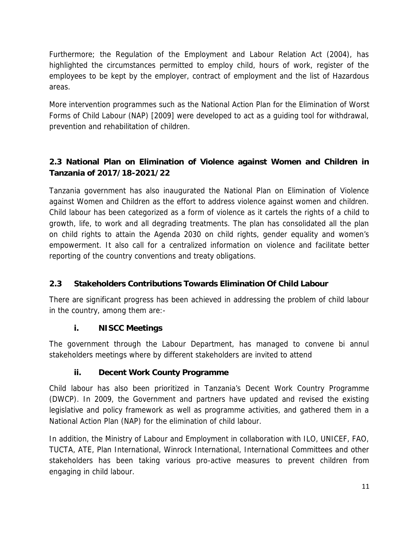Furthermore; the Regulation of the Employment and Labour Relation Act (2004), has highlighted the circumstances permitted to employ child, hours of work, register of the employees to be kept by the employer, contract of employment and the list of Hazardous areas.

More intervention programmes such as the National Action Plan for the Elimination of Worst Forms of Child Labour (NAP) [2009] were developed to act as a guiding tool for withdrawal, prevention and rehabilitation of children.

**2.3 National Plan on Elimination of Violence against Women and Children in Tanzania of 2017/18-2021/22**

Tanzania government has also inaugurated the National Plan on Elimination of Violence against Women and Children as the effort to address violence against women and children. Child labour has been categorized as a form of violence as it cartels the rights of a child to growth, life, to work and all degrading treatments. The plan has consolidated all the plan on child rights to attain the Agenda 2030 on child rights, gender equality and women's empowerment. It also call for a centralized information on violence and facilitate better reporting of the country conventions and treaty obligations.

#### **2.3 Stakeholders Contributions Towards Elimination Of Child Labour**

There are significant progress has been achieved in addressing the problem of child labour in the country, among them are:-

**i. NISCC Meetings**

The government through the Labour Department, has managed to convene bi annul stakeholders meetings where by different stakeholders are invited to attend

#### **ii. Decent Work County Programme**

Child labour has also been prioritized in Tanzania's Decent Work Country Programme (DWCP). In 2009, the Government and partners have updated and revised the existing legislative and policy framework as well as programme activities, and gathered them in a National Action Plan (NAP) for the elimination of child labour.

In addition, the Ministry of Labour and Employment in collaboration with ILO, UNICEF, FAO, TUCTA, ATE, Plan International, Winrock International, International Committees and other stakeholders has been taking various pro-active measures to prevent children from engaging in child labour.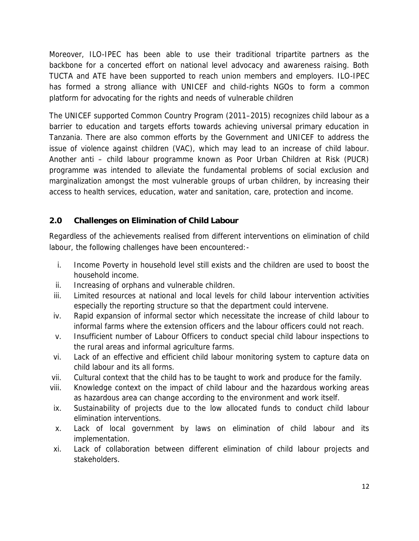Moreover, ILO-IPEC has been able to use their traditional tripartite partners as the backbone for a concerted effort on national level advocacy and awareness raising. Both TUCTA and ATE have been supported to reach union members and employers. ILO-IPEC has formed a strong alliance with UNICEF and child-rights NGOs to form a common platform for advocating for the rights and needs of vulnerable children

The UNICEF supported Common Country Program (2011–2015) recognizes child labour as a barrier to education and targets efforts towards achieving universal primary education in Tanzania. There are also common efforts by the Government and UNICEF to address the issue of violence against children (VAC), which may lead to an increase of child labour. Another anti – child labour programme known as Poor Urban Children at Risk (PUCR) programme was intended to alleviate the fundamental problems of social exclusion and marginalization amongst the most vulnerable groups of urban children, by increasing their access to health services, education, water and sanitation, care, protection and income.

#### **2.0 Challenges on Elimination of Child Labour**

Regardless of the achievements realised from different interventions on elimination of child labour, the following challenges have been encountered:-

- i. Income Poverty in household level still exists and the children are used to boost the household income.
- ii. Increasing of orphans and vulnerable children.
- iii. Limited resources at national and local levels for child labour intervention activities especially the reporting structure so that the department could intervene.
- iv. Rapid expansion of informal sector which necessitate the increase of child labour to informal farms where the extension officers and the labour officers could not reach.
- v. Insufficient number of Labour Officers to conduct special child labour inspections to the rural areas and informal agriculture farms.
- vi. Lack of an effective and efficient child labour monitoring system to capture data on child labour and its all forms.
- vii. Cultural context that the child has to be taught to work and produce for the family.
- viii. Knowledge context on the impact of child labour and the hazardous working areas as hazardous area can change according to the environment and work itself.
- ix. Sustainability of projects due to the low allocated funds to conduct child labour elimination interventions.
- x. Lack of local government by laws on elimination of child labour and its implementation.
- xi. Lack of collaboration between different elimination of child labour projects and stakeholders.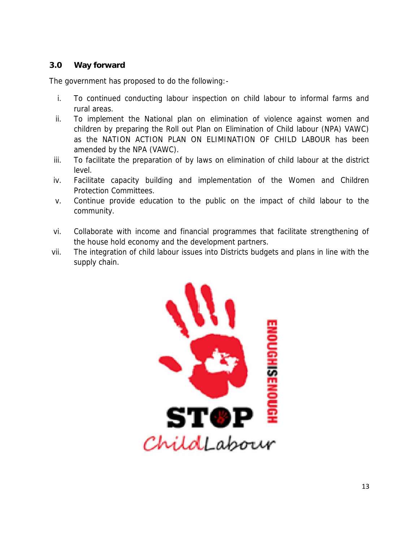#### **3.0 Way forward**

The government has proposed to do the following:-

- i. To continued conducting labour inspection on child labour to informal farms and rural areas.
- ii. To implement the National plan on elimination of violence against women and children by preparing the Roll out Plan on Elimination of Child labour (NPA) VAWC) as the NATION ACTION PLAN ON ELIMINATION OF CHILD LABOUR has been amended by the NPA (VAWC).
- iii. To facilitate the preparation of by laws on elimination of child labour at the district level.
- iv. Facilitate capacity building and implementation of the Women and Children Protection Committees.
- v. Continue provide education to the public on the impact of child labour to the community.
- vi. Collaborate with income and financial programmes that facilitate strengthening of the house hold economy and the development partners.
- vii. The integration of child labour issues into Districts budgets and plans in line with the supply chain.

![](_page_12_Picture_9.jpeg)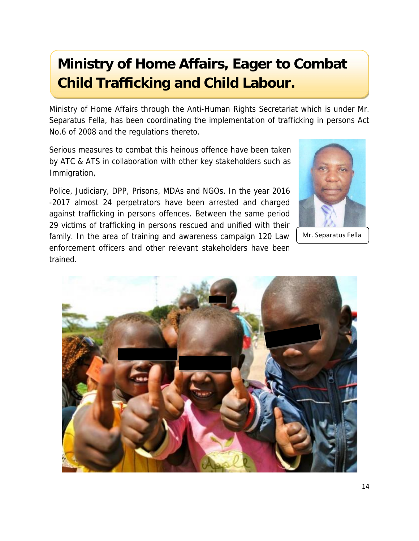# **Ministry of Home Affairs, Eager to Combat Child Trafficking and Child Labour.**

Ministry of Home Affairs through the Anti-Human Rights Secretariat which is under Mr. Separatus Fella, has been coordinating the implementation of trafficking in persons Act No.6 of 2008 and the regulations thereto.

Serious measures to combat this heinous offence have been taken by ATC & ATS in collaboration with other key stakeholders such as Immigration,

Police, Judiciary, DPP, Prisons, MDAs and NGOs. In the year 2016 -2017 almost 24 perpetrators have been arrested and charged against trafficking in persons offences. Between the same period 29 victims of trafficking in persons rescued and unified with their family. In the area of training and awareness campaign 120 Law enforcement officers and other relevant stakeholders have been trained.

![](_page_13_Picture_4.jpeg)

Mr. Separatus Fella

![](_page_13_Picture_6.jpeg)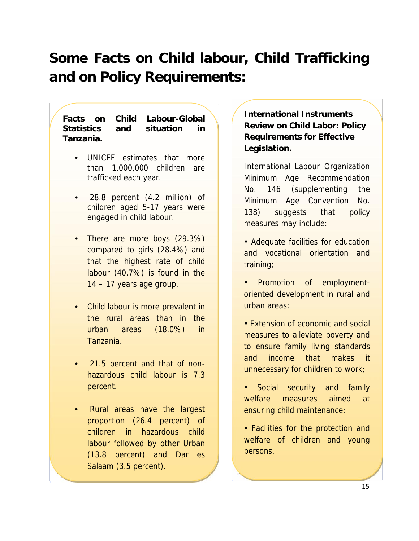# *Some Facts on Child labour, Child Trafficking and on Policy Requirements:*

*Facts on Child Labour-Global Statistics and situation in Tanzania.*

- *UNICEF estimates that more than 1,000,000 children are trafficked each year.*
- *28.8 percent (4.2 million) of children aged 5-17 years were engaged in child labour.*
- *There are more boys (29.3%) compared to girls (28.4%) and that the highest rate of child labour (40.7%) is found in the 14 – 17 years age group.*
- *Child labour is more prevalent in the rural areas than in the urban areas (18.0%) in Tanzania.*
- *21.5 percent and that of non hazardous child labour is 7.3 percent.*
- *Rural areas have the largest proportion (26.4 percent) of children in hazardous child labour followed by other Urban (13.8 percent) and Dar es Salaam (3.5 percent).*

*Tanzania National Child Labour Survey*

*International Instruments Review on Child Labor: Policy Requirements for Effective Legislation.*

International Labour Organization Minimum Age Recommendation No. 146 (supplementing the Minimum Age Convention No. 138) suggests that policy measures may include:

- Adequate facilities for education and vocational orientation and training;
- Promotion of employment oriented development in rural and urban areas;
- Extension of economic and social measures to alleviate poverty and to ensure family living standards and income that makes it unnecessary for children to work;
- Social security and family welfare measures aimed at ensuring child maintenance;
- Facilities for the protection and welfare of children and young persons.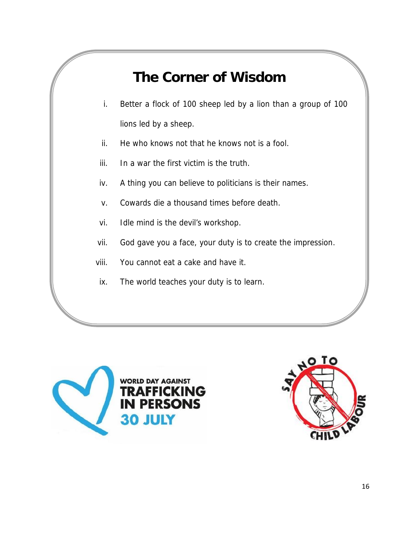# *The Corner of Wisdom*

- *i. Better a flock of 100 sheep led by a lion than a group of 100 lions led by a sheep.*
- *ii. He who knows not that he knows not is a fool.*
- *iii. In a war the first victim is the truth.*
- *iv. A thing you can believe to politicians is their names.*
- *v. Cowards die a thousand times before death.*
- *vi. Idle mind is the devil's workshop.*
- *vii. God gave you a face, your duty is to create the impression.*
- *viii. You cannot eat a cake and have it.*
- *ix. The world teaches your duty is to learn.*

![](_page_15_Picture_10.jpeg)

![](_page_15_Picture_11.jpeg)